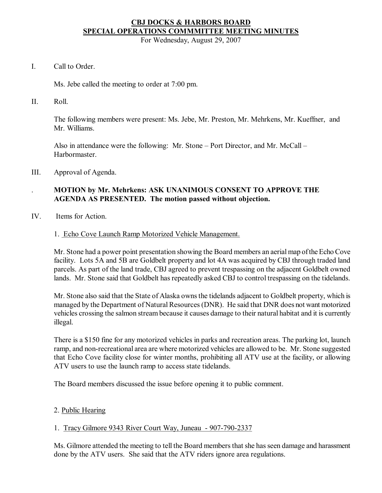# **CBJ DOCKS & HARBORS BOARD SPECIAL OPERATIONS COMMMITTEE MEETING MINUTES**

For Wednesday, August 29, 2007

I. Call to Order.

Ms. Jebe called the meeting to order at 7:00 pm.

II. Roll.

The following members were present: Ms. Jebe, Mr. Preston, Mr. Mehrkens, Mr. Kueffner, and Mr. Williams.

Also in attendance were the following: Mr. Stone – Port Director, and Mr. McCall – Harbormaster.

III. Approval of Agenda.

# . **MOTION by Mr. Mehrkens: ASK UNANIMOUS CONSENT TO APPROVE THE AGENDA AS PRESENTED. The motion passed without objection.**

IV. Items for Action.

## 1. Echo Cove Launch Ramp Motorized Vehicle Management.

Mr. Stone had a power point presentation showing the Board members an aerial map ofthe Echo Cove facility. Lots 5A and 5B are Goldbelt property and lot 4A was acquired by CBJ through traded land parcels. As part of the land trade, CBJ agreed to prevent trespassing on the adjacent Goldbelt owned lands. Mr. Stone said that Goldbelt has repeatedly asked CBJ to control trespassing on the tidelands.

Mr. Stone also said that the State of Alaska owns the tidelands adjacent to Goldbelt property, which is managed by the Department of Natural Resources (DNR). He said that DNR does not want motorized vehicles crossing the salmon stream because it causes damage to their natural habitat and it is currently illegal.

There is a \$150 fine for any motorized vehicles in parks and recreation areas. The parking lot, launch ramp, and non-recreational area are where motorized vehicles are allowed to be. Mr. Stone suggested that Echo Cove facility close for winter months, prohibiting all ATV use at the facility, or allowing ATV users to use the launch ramp to access state tidelands.

The Board members discussed the issue before opening it to public comment.

## 2. Public Hearing

## 1. Tracy Gilmore 9343 River Court Way, Juneau - 907-790-2337

Ms. Gilmore attended the meeting to tell the Board members that she has seen damage and harassment done by the ATV users. She said that the ATV riders ignore area regulations.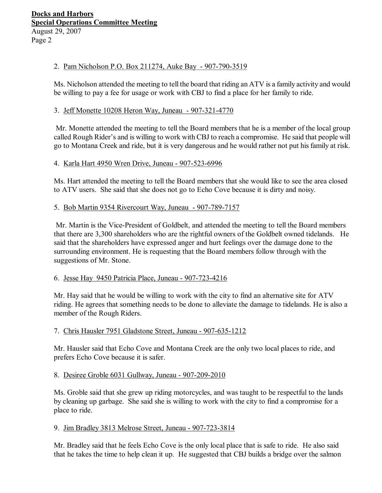## 2. Pam Nicholson P.O. Box 211274, Auke Bay - 907-790-3519

Ms. Nicholson attended the meeting to tell the board that riding an ATV is a family activity and would be willing to pay a fee for usage or work with CBJ to find a place for her family to ride.

## 3. Jeff Monette 10208 Heron Way, Juneau - 907-321-4770

Mr. Monette attended the meeting to tell the Board members that he is a member of the local group called Rough Rider's and is willing to work with CBJ to reach a compromise. He said that people will go to Montana Creek and ride, but it is very dangerous and he would rather not put his family at risk.

## 4. Karla Hart 4950 Wren Drive, Juneau - 907-523-6996

Ms. Hart attended the meeting to tell the Board members that she would like to see the area closed to ATV users. She said that she does not go to Echo Cove because it is dirty and noisy.

## 5. Bob Martin 9354 Rivercourt Way, Juneau - 907-789-7157

Mr. Martin is the Vice-President of Goldbelt, and attended the meeting to tell the Board members that there are 3,300 shareholders who are the rightful owners of the Goldbelt owned tidelands. He said that the shareholders have expressed anger and hurt feelings over the damage done to the surrounding environment. He is requesting that the Board members follow through with the suggestions of Mr. Stone.

### 6. Jesse Hay 9450 Patricia Place, Juneau - 907-723-4216

Mr. Hay said that he would be willing to work with the city to find an alternative site for ATV riding. He agrees that something needs to be done to alleviate the damage to tidelands. He is also a member of the Rough Riders.

### 7. Chris Hausler 7951 Gladstone Street, Juneau - 907-635-1212

Mr. Hausler said that Echo Cove and Montana Creek are the only two local places to ride, and prefers Echo Cove because it is safer.

### 8. Desiree Groble 6031 Gullway, Juneau - 907-209-2010

Ms. Groble said that she grew up riding motorcycles, and was taught to be respectful to the lands by cleaning up garbage. She said she is willing to work with the city to find a compromise for a place to ride.

### 9. Jim Bradley 3813 Melrose Street, Juneau - 907-723-3814

Mr. Bradley said that he feels Echo Cove is the only local place that is safe to ride. He also said that he takes the time to help clean it up. He suggested that CBJ builds a bridge over the salmon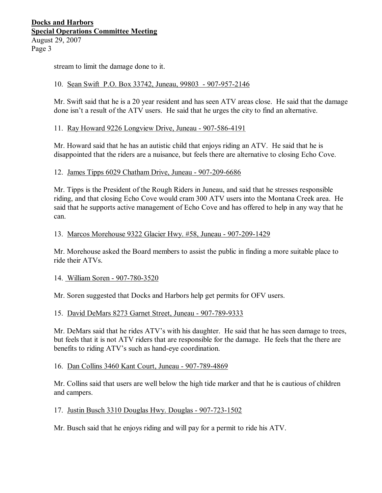## **Docks and Harbors Special Operations Committee Meeting** August 29, 2007 Page 3

stream to limit the damage done to it.

## 10. Sean Swift P.O. Box 33742, Juneau, 99803 - 907-957-2146

Mr. Swift said that he is a 20 year resident and has seen ATV areas close. He said that the damage done isn't a result of the ATV users. He said that he urges the city to find an alternative.

### 11. Ray Howard 9226 Longview Drive, Juneau - 907-586-4191

Mr. Howard said that he has an autistic child that enjoys riding an ATV. He said that he is disappointed that the riders are a nuisance, but feels there are alternative to closing Echo Cove.

### 12. James Tipps 6029 Chatham Drive, Juneau - 907-209-6686

Mr. Tipps is the President of the Rough Riders in Juneau, and said that he stresses responsible riding, and that closing Echo Cove would cram 300 ATV users into the Montana Creek area. He said that he supports active management of Echo Cove and has offered to help in any way that he can.

#### 13. Marcos Morehouse 9322 Glacier Hwy. #58, Juneau - 907-209-1429

Mr. Morehouse asked the Board members to assist the public in finding a more suitable place to ride their ATVs.

### 14. William Soren - 907-780-3520

Mr. Soren suggested that Docks and Harbors help get permits for OFV users.

### 15. David DeMars 8273 Garnet Street, Juneau - 907-789-9333

Mr. DeMars said that he rides ATV's with his daughter. He said that he has seen damage to trees, but feels that it is not ATV riders that are responsible for the damage. He feels that the there are benefits to riding ATV's such as hand-eye coordination.

#### 16. Dan Collins 3460 Kant Court, Juneau - 907-789-4869

Mr. Collins said that users are well below the high tide marker and that he is cautious of children and campers.

### 17. Justin Busch 3310 Douglas Hwy. Douglas - 907-723-1502

Mr. Busch said that he enjoys riding and will pay for a permit to ride his ATV.